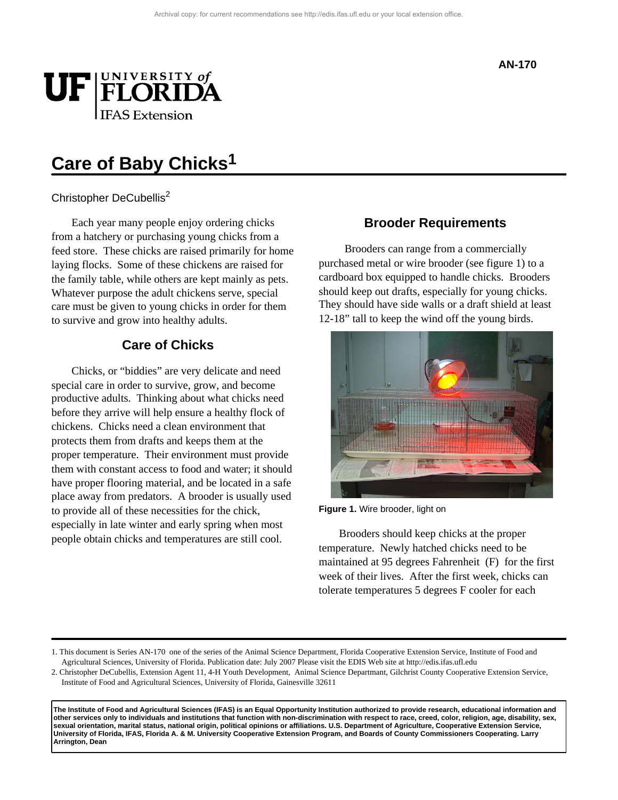

# **Care of Baby Chicks1**

## Christopher DeCubellis<sup>2</sup>

Each year many people enjoy ordering chicks from a hatchery or purchasing young chicks from a feed store. These chicks are raised primarily for home laying flocks. Some of these chickens are raised for the family table, while others are kept mainly as pets. Whatever purpose the adult chickens serve, special care must be given to young chicks in order for them to survive and grow into healthy adults.

# **Care of Chicks**

Chicks, or "biddies" are very delicate and need special care in order to survive, grow, and become productive adults. Thinking about what chicks need before they arrive will help ensure a healthy flock of chickens. Chicks need a clean environment that protects them from drafts and keeps them at the proper temperature. Their environment must provide them with constant access to food and water; it should have proper flooring material, and be located in a safe place away from predators. A brooder is usually used to provide all of these necessities for the chick, especially in late winter and early spring when most people obtain chicks and temperatures are still cool.

### **Brooder Requirements**

 Brooders can range from a commercially purchased metal or wire brooder (see figure 1) to a cardboard box equipped to handle chicks. Brooders should keep out drafts, especially for young chicks. They should have side walls or a draft shield at least 12-18" tall to keep the wind off the young birds.



**Figure 1.** Wire brooder, light on

Brooders should keep chicks at the proper temperature. Newly hatched chicks need to be maintained at 95 degrees Fahrenheit (F) for the first week of their lives. After the first week, chicks can tolerate temperatures 5 degrees F cooler for each

1. This document is Series AN-170 one of the series of the Animal Science Department, Florida Cooperative Extension Service, Institute of Food and Agricultural Sciences, University of Florida. Publication date: July 2007 Please visit the EDIS Web site at http://edis.ifas.ufl.edu

2. Christopher DeCubellis, Extension Agent 11, 4-H Youth Development, Animal Science Departmant, Gilchrist County Cooperative Extension Service, Institute of Food and Agricultural Sciences, University of Florida, Gainesville 32611

**The Institute of Food and Agricultural Sciences (IFAS) is an Equal Opportunity Institution authorized to provide research, educational information and other services only to individuals and institutions that function with non-discrimination with respect to race, creed, color, religion, age, disability, sex, sexual orientation, marital status, national origin, political opinions or affiliations. U.S. Department of Agriculture, Cooperative Extension Service, University of Florida, IFAS, Florida A. & M. University Cooperative Extension Program, and Boards of County Commissioners Cooperating. Larry Arrington, Dean**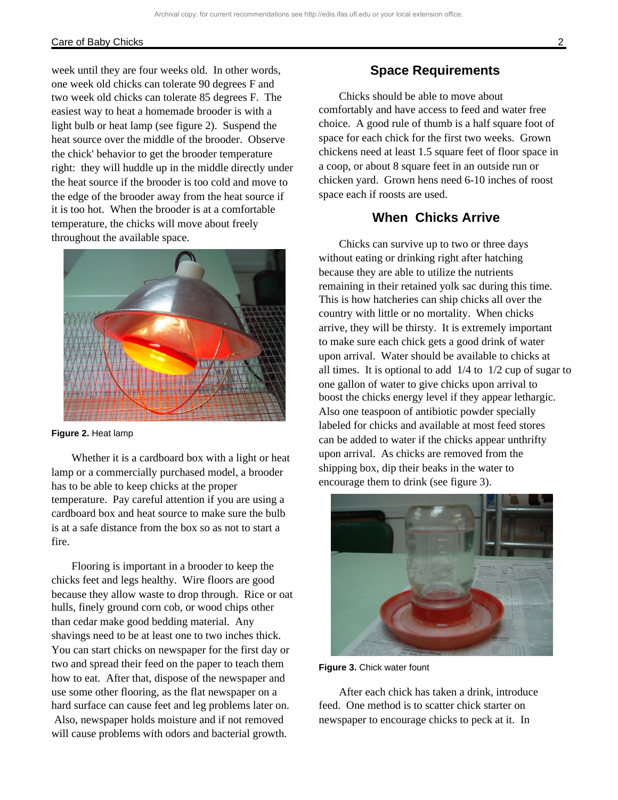#### Care of Baby Chicks 2

week until they are four weeks old. In other words, one week old chicks can tolerate 90 degrees F and two week old chicks can tolerate 85 degrees F. The easiest way to heat a homemade brooder is with a light bulb or heat lamp (see figure 2). Suspend the heat source over the middle of the brooder. Observe the chick' behavior to get the brooder temperature right: they will huddle up in the middle directly under the heat source if the brooder is too cold and move to the edge of the brooder away from the heat source if it is too hot. When the brooder is at a comfortable temperature, the chicks will move about freely throughout the available space.



**Figure 2.** Heat lamp

Whether it is a cardboard box with a light or heat lamp or a commercially purchased model, a brooder has to be able to keep chicks at the proper temperature. Pay careful attention if you are using a cardboard box and heat source to make sure the bulb is at a safe distance from the box so as not to start a fire.

Flooring is important in a brooder to keep the chicks feet and legs healthy. Wire floors are good because they allow waste to drop through. Rice or oat hulls, finely ground corn cob, or wood chips other than cedar make good bedding material. Any shavings need to be at least one to two inches thick. You can start chicks on newspaper for the first day or two and spread their feed on the paper to teach them how to eat. After that, dispose of the newspaper and use some other flooring, as the flat newspaper on a hard surface can cause feet and leg problems later on. Also, newspaper holds moisture and if not removed will cause problems with odors and bacterial growth.

## **Space Requirements**

Chicks should be able to move about comfortably and have access to feed and water free choice. A good rule of thumb is a half square foot of space for each chick for the first two weeks. Grown chickens need at least 1.5 square feet of floor space in a coop, or about 8 square feet in an outside run or chicken yard. Grown hens need 6-10 inches of roost space each if roosts are used.

# **When Chicks Arrive**

Chicks can survive up to two or three days without eating or drinking right after hatching because they are able to utilize the nutrients remaining in their retained yolk sac during this time. This is how hatcheries can ship chicks all over the country with little or no mortality. When chicks arrive, they will be thirsty. It is extremely important to make sure each chick gets a good drink of water upon arrival. Water should be available to chicks at all times. It is optional to add  $1/4$  to  $1/2$  cup of sugar to one gallon of water to give chicks upon arrival to boost the chicks energy level if they appear lethargic. Also one teaspoon of antibiotic powder specially labeled for chicks and available at most feed stores can be added to water if the chicks appear unthrifty upon arrival. As chicks are removed from the shipping box, dip their beaks in the water to encourage them to drink (see figure 3).



**Figure 3.** Chick water fount

After each chick has taken a drink, introduce feed. One method is to scatter chick starter on newspaper to encourage chicks to peck at it. In